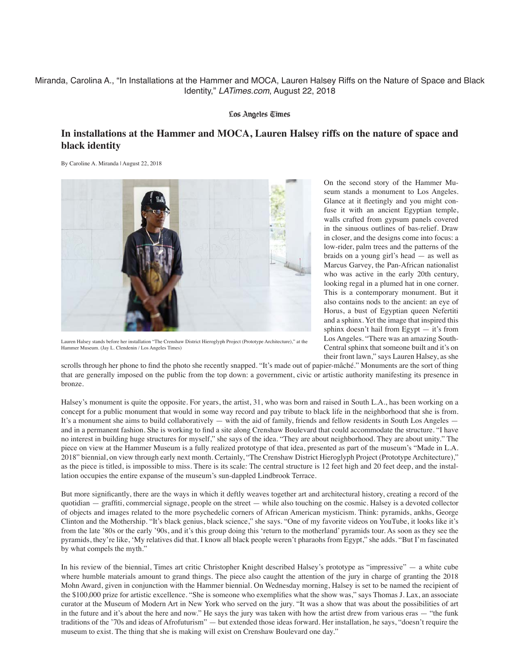## Miranda, Carolina A., "In Installations at the Hammer and MOCA, Lauren Halsey Riffs on the Nature of Space and Black Identity," *LATimes.com*, August 22, 2018

#### Los Angeles Times

# **In installations at the Hammer and MOCA, Lauren Halsey riffs on the nature of space and black identity**

By Caroline A. Miranda | August 22, 2018



Lauren Halsey stands before her installation "The Crenshaw District Hieroglyph Project (Prototype Architecture)," at the Hammer Museum. (Jay L. Clendenin / Los Angeles Times)

On the second story of the Hammer Museum stands a monument to Los Angeles. Glance at it fleetingly and you might confuse it with an ancient Egyptian temple, walls crafted from gypsum panels covered in the sinuous outlines of bas-relief. Draw in closer, and the designs come into focus: a low-rider, palm trees and the patterns of the braids on a young girl's head — as well as Marcus Garvey, the Pan-African nationalist who was active in the early 20th century, looking regal in a plumed hat in one corner. This is a contemporary monument. But it also contains nods to the ancient: an eye of Horus, a bust of Egyptian queen Nefertiti and a sphinx. Yet the image that inspired this sphinx doesn't hail from Egypt — it's from Los Angeles. "There was an amazing South-Central sphinx that someone built and it's on their front lawn," says Lauren Halsey, as she

scrolls through her phone to find the photo she recently snapped. "It's made out of papier-mâché." Monuments are the sort of thing that are generally imposed on the public from the top down: a government, civic or artistic authority manifesting its presence in bronze.

Halsey's monument is quite the opposite. For years, the artist, 31, who was born and raised in South L.A., has been working on a concept for a public monument that would in some way record and pay tribute to black life in the neighborhood that she is from. It's a monument she aims to build collaboratively — with the aid of family, friends and fellow residents in South Los Angeles and in a permanent fashion. She is working to find a site along Crenshaw Boulevard that could accommodate the structure. "I have no interest in building huge structures for myself," she says of the idea. "They are about neighborhood. They are about unity." The piece on view at the Hammer Museum is a fully realized prototype of that idea, presented as part of the museum's "Made in L.A. 2018" biennial, on view through early next month. Certainly, "The Crenshaw District Hieroglyph Project (Prototype Architecture)," as the piece is titled, is impossible to miss. There is its scale: The central structure is 12 feet high and 20 feet deep, and the installation occupies the entire expanse of the museum's sun-dappled Lindbrook Terrace.

But more significantly, there are the ways in which it deftly weaves together art and architectural history, creating a record of the quotidian — graffiti, commercial signage, people on the street — while also touching on the cosmic. Halsey is a devoted collector of objects and images related to the more psychedelic corners of African American mysticism. Think: pyramids, ankhs, George Clinton and the Mothership. "It's black genius, black science," she says. "One of my favorite videos on YouTube, it looks like it's from the late '80s or the early '90s, and it's this group doing this 'return to the motherland' pyramids tour. As soon as they see the pyramids, they're like, 'My relatives did that. I know all black people weren't pharaohs from Egypt," she adds. "But I'm fascinated by what compels the myth."

In his review of the biennial, Times art critic Christopher Knight described Halsey's prototype as "impressive" — a white cube where humble materials amount to grand things. The piece also caught the attention of the jury in charge of granting the 2018 Mohn Award, given in conjunction with the Hammer biennial. On Wednesday morning, Halsey is set to be named the recipient of the \$100,000 prize for artistic excellence. "She is someone who exemplifies what the show was," says Thomas J. Lax, an associate curator at the Museum of Modern Art in New York who served on the jury. "It was a show that was about the possibilities of art in the future and it's about the here and now." He says the jury was taken with how the artist drew from various eras — "the funk traditions of the '70s and ideas of Afrofuturism" — but extended those ideas forward. Her installation, he says, "doesn't require the museum to exist. The thing that she is making will exist on Crenshaw Boulevard one day."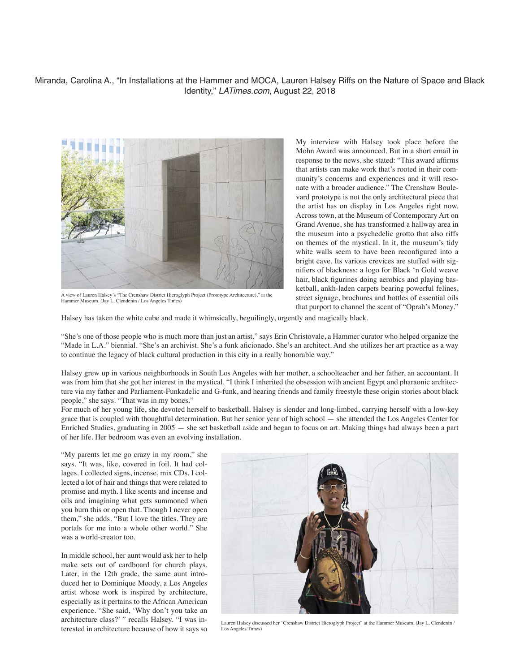## Miranda, Carolina A., "In Installations at the Hammer and MOCA, Lauren Halsey Riffs on the Nature of Space and Black Identity," *LATimes.com*, August 22, 2018



A view of Lauren Halsey's "The Crenshaw District Hieroglyph Project (Prototype Architecture)," at the Hammer Museum. (Jay L. Clendenin / Los Angeles Times)

My interview with Halsey took place before the Mohn Award was announced. But in a short email in response to the news, she stated: "This award affirms that artists can make work that's rooted in their community's concerns and experiences and it will resonate with a broader audience." The Crenshaw Boulevard prototype is not the only architectural piece that the artist has on display in Los Angeles right now. Across town, at the Museum of Contemporary Art on Grand Avenue, she has transformed a hallway area in the museum into a psychedelic grotto that also riffs on themes of the mystical. In it, the museum's tidy white walls seem to have been reconfigured into a bright cave. Its various crevices are stuffed with signifiers of blackness: a logo for Black 'n Gold weave hair, black figurines doing aerobics and playing basketball, ankh-laden carpets bearing powerful felines, street signage, brochures and bottles of essential oils that purport to channel the scent of "Oprah's Money."

Halsey has taken the white cube and made it whimsically, beguilingly, urgently and magically black.

"She's one of those people who is much more than just an artist," says Erin Christovale, a Hammer curator who helped organize the "Made in L.A." biennial. "She's an archivist. She's a funk aficionado. She's an architect. And she utilizes her art practice as a way to continue the legacy of black cultural production in this city in a really honorable way."

Halsey grew up in various neighborhoods in South Los Angeles with her mother, a schoolteacher and her father, an accountant. It was from him that she got her interest in the mystical. "I think I inherited the obsession with ancient Egypt and pharaonic architecture via my father and Parliament-Funkadelic and G-funk, and hearing friends and family freestyle these origin stories about black people," she says. "That was in my bones."

For much of her young life, she devoted herself to basketball. Halsey is slender and long-limbed, carrying herself with a low-key grace that is coupled with thoughtful determination. But her senior year of high school — she attended the Los Angeles Center for Enriched Studies, graduating in 2005 — she set basketball aside and began to focus on art. Making things had always been a part of her life. Her bedroom was even an evolving installation.

"My parents let me go crazy in my room," she says. "It was, like, covered in foil. It had collages. I collected signs, incense, mix CDs. I collected a lot of hair and things that were related to promise and myth. I like scents and incense and oils and imagining what gets summoned when you burn this or open that. Though I never open them," she adds. "But I love the titles. They are portals for me into a whole other world." She was a world-creator too.

In middle school, her aunt would ask her to help make sets out of cardboard for church plays. Later, in the 12th grade, the same aunt introduced her to Dominique Moody, a Los Angeles artist whose work is inspired by architecture, especially as it pertains to the African American experience. "She said, 'Why don't you take an architecture class?' " recalls Halsey. "I was interested in architecture because of how it says so



Lauren Halsey discussed her "Crenshaw District Hieroglyph Project" at the Hammer Museum. (Jay L. Clendenin / Los Angeles Times)